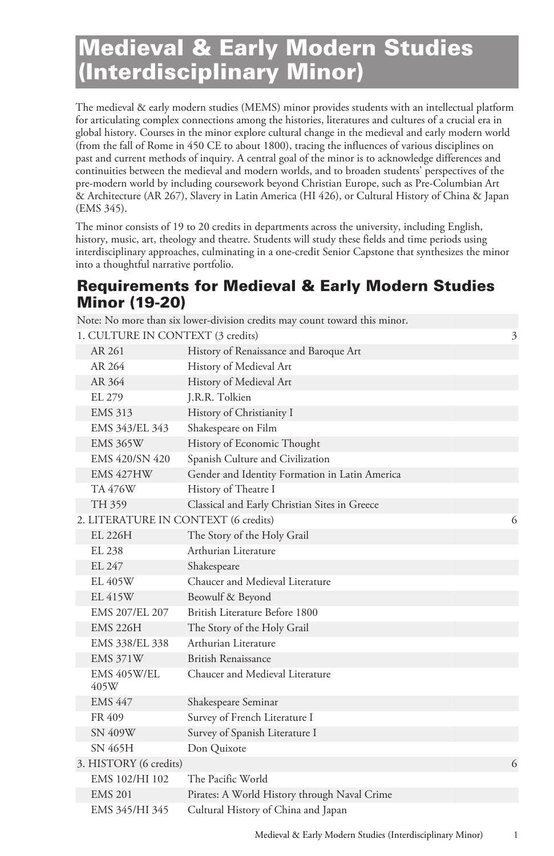## Medieval & Early Modern Studies (Interdisciplinary Minor)

The medieval & early modern studies (MEMS) minor provides students with an intellectual platform for articulating complex connections among the histories, literatures and cultures of a crucial era in global history. Courses in the minor explore cultural change in the medieval and early modern world (from the fall of Rome in 450 CE to about 1800), tracing the influences of various disciplines on past and current methods of inquiry. A central goal of the minor is to acknowledge differences and continuities between the medieval and modern worlds, and to broaden students' perspectives of the pre-modern world by including coursework beyond Christian Europe, such as Pre-Columbian Art & Architecture (AR 267), Slavery in Latin America (HI 426), or Cultural History of China & Japan (EMS 345).

The minor consists of 19 to 20 credits in departments across the university, including English, history, music, art, theology and theatre. Students will study these fields and time periods using interdisciplinary approaches, culminating in a one-credit Senior Capstone that synthesizes the minor into a thoughtful narrative portfolio.

## Requirements for Medieval & Early Modern Studies Minor (19-20)

|                                      | Note: No more than six lower-division credits may count toward this minor. |   |
|--------------------------------------|----------------------------------------------------------------------------|---|
| 1. CULTURE IN CONTEXT (3 credits)    |                                                                            | 3 |
| AR 261                               | History of Renaissance and Baroque Art                                     |   |
| AR 264                               | History of Medieval Art                                                    |   |
| AR 364                               | History of Medieval Art                                                    |   |
| EL 279                               | J.R.R. Tolkien                                                             |   |
| <b>EMS 313</b>                       | History of Christianity I                                                  |   |
| EMS 343/EL 343                       | Shakespeare on Film                                                        |   |
| <b>EMS 365W</b>                      | History of Economic Thought                                                |   |
| EMS 420/SN 420                       | Spanish Culture and Civilization                                           |   |
| EMS 427HW                            | Gender and Identity Formation in Latin America                             |   |
| <b>TA 476W</b>                       | History of Theatre I                                                       |   |
| TH 359                               | Classical and Early Christian Sites in Greece                              |   |
| 2. LITERATURE IN CONTEXT (6 credits) |                                                                            | 6 |
| EL 226H                              | The Story of the Holy Grail                                                |   |
| EL 238                               | Arthurian Literature                                                       |   |
| EL 247                               | Shakespeare                                                                |   |
| EL 405W                              | Chaucer and Medieval Literature                                            |   |
| EL 415W                              | Beowulf & Beyond                                                           |   |
| EMS 207/EL 207                       | British Literature Before 1800                                             |   |
| <b>EMS 226H</b>                      | The Story of the Holy Grail                                                |   |
| EMS 338/EL 338                       | Arthurian Literature                                                       |   |
| <b>EMS 371W</b>                      | British Renaissance                                                        |   |
| EMS 405W/EL<br>405W                  | Chaucer and Medieval Literature                                            |   |
| <b>EMS 447</b>                       | Shakespeare Seminar                                                        |   |
| FR 409                               | Survey of French Literature I                                              |   |
| SN 409W                              | Survey of Spanish Literature I                                             |   |
| SN 465H                              | Don Quixote                                                                |   |
| 3. HISTORY (6 credits)               |                                                                            | 6 |
| EMS 102/HI 102                       | The Pacific World                                                          |   |
| <b>EMS 201</b>                       | Pirates: A World History through Naval Crime                               |   |
| EMS 345/HI 345                       | Cultural History of China and Japan                                        |   |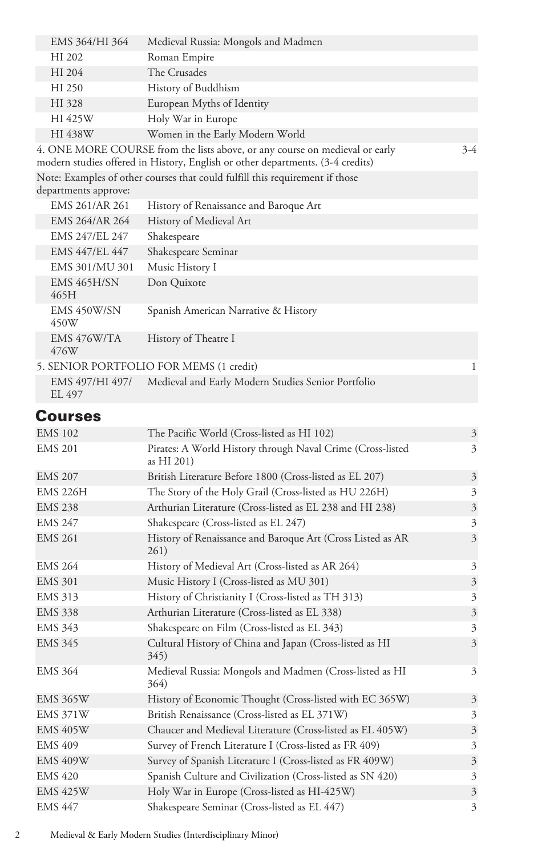| EMS 364/HI 364             | Medieval Russia: Mongols and Madmen                                                                                                                           |       |
|----------------------------|---------------------------------------------------------------------------------------------------------------------------------------------------------------|-------|
| HI 202                     | Roman Empire                                                                                                                                                  |       |
| HI 204                     | The Crusades                                                                                                                                                  |       |
| HI 250                     | History of Buddhism                                                                                                                                           |       |
| HI 328                     | European Myths of Identity                                                                                                                                    |       |
| HI 425W                    | Holy War in Europe                                                                                                                                            |       |
| HI 438W                    | Women in the Early Modern World                                                                                                                               |       |
|                            | 4. ONE MORE COURSE from the lists above, or any course on medieval or early<br>modern studies offered in History, English or other departments. (3-4 credits) | $3-4$ |
|                            | Note: Examples of other courses that could fulfill this requirement if those                                                                                  |       |
| departments approve:       |                                                                                                                                                               |       |
| EMS 261/AR 261             | History of Renaissance and Baroque Art                                                                                                                        |       |
| EMS 264/AR 264             | History of Medieval Art                                                                                                                                       |       |
| EMS 247/EL 247             | Shakespeare                                                                                                                                                   |       |
| EMS 447/EL 447             | Shakespeare Seminar                                                                                                                                           |       |
| EMS 301/MU 301             | Music History I                                                                                                                                               |       |
| <b>EMS 465H/SN</b><br>465H | Don Quixote                                                                                                                                                   |       |
| EMS 450W/SN<br>450W        | Spanish American Narrative & History                                                                                                                          |       |
| $FMS$ $A76W/TA$            | History of Theatre I                                                                                                                                          |       |

| $LIVIO$ $\pm$ / $U$ W $IIA$<br>476W | THStOLY OF THEALLE I                               |  |
|-------------------------------------|----------------------------------------------------|--|
|                                     | 5. SENIOR PORTFOLIO FOR MEMS (1 credit)            |  |
| EMS 497/HI 497/<br>EI.497           | Medieval and Early Modern Studies Senior Portfolio |  |

## Courses

| <b>EMS 102</b>  | The Pacific World (Cross-listed as HI 102)                               | $\overline{3}$          |
|-----------------|--------------------------------------------------------------------------|-------------------------|
| <b>EMS 201</b>  | Pirates: A World History through Naval Crime (Cross-listed<br>as HI 201) | 3                       |
| <b>EMS 207</b>  | British Literature Before 1800 (Cross-listed as EL 207)                  | 3                       |
| <b>EMS 226H</b> | The Story of the Holy Grail (Cross-listed as HU 226H)                    | 3                       |
| <b>EMS 238</b>  | Arthurian Literature (Cross-listed as EL 238 and HI 238)                 | $\overline{\mathbf{3}}$ |
| <b>EMS 247</b>  | Shakespeare (Cross-listed as EL 247)                                     | 3                       |
| <b>EMS 261</b>  | History of Renaissance and Baroque Art (Cross Listed as AR<br>261)       | $\overline{\mathbf{3}}$ |
| <b>EMS 264</b>  | History of Medieval Art (Cross-listed as AR 264)                         | 3                       |
| <b>EMS 301</b>  | Music History I (Cross-listed as MU 301)                                 | 3                       |
| <b>EMS 313</b>  | History of Christianity I (Cross-listed as TH 313)                       | 3                       |
| <b>EMS 338</b>  | Arthurian Literature (Cross-listed as EL 338)                            | $\overline{\mathbf{3}}$ |
| <b>EMS 343</b>  | Shakespeare on Film (Cross-listed as EL 343)                             | 3                       |
| <b>EMS 345</b>  | Cultural History of China and Japan (Cross-listed as HI<br>345)          | 3                       |
| <b>EMS 364</b>  | Medieval Russia: Mongols and Madmen (Cross-listed as HI<br>364)          | 3                       |
| <b>EMS 365W</b> | History of Economic Thought (Cross-listed with EC 365W)                  | 3                       |
| <b>EMS 371W</b> | British Renaissance (Cross-listed as EL 371W)                            | 3                       |
| <b>EMS 405W</b> | Chaucer and Medieval Literature (Cross-listed as EL 405W)                | 3                       |
| <b>EMS 409</b>  | Survey of French Literature I (Cross-listed as FR 409)                   | 3                       |
| <b>EMS 409W</b> | Survey of Spanish Literature I (Cross-listed as FR 409W)                 | 3                       |
| <b>EMS 420</b>  | Spanish Culture and Civilization (Cross-listed as SN 420)                | 3                       |
| <b>EMS 425W</b> | Holy War in Europe (Cross-listed as HI-425W)                             | 3                       |
| <b>EMS 447</b>  | Shakespeare Seminar (Cross-listed as EL 447)                             | 3                       |

2 Medieval & Early Modern Studies (Interdisciplinary Minor)